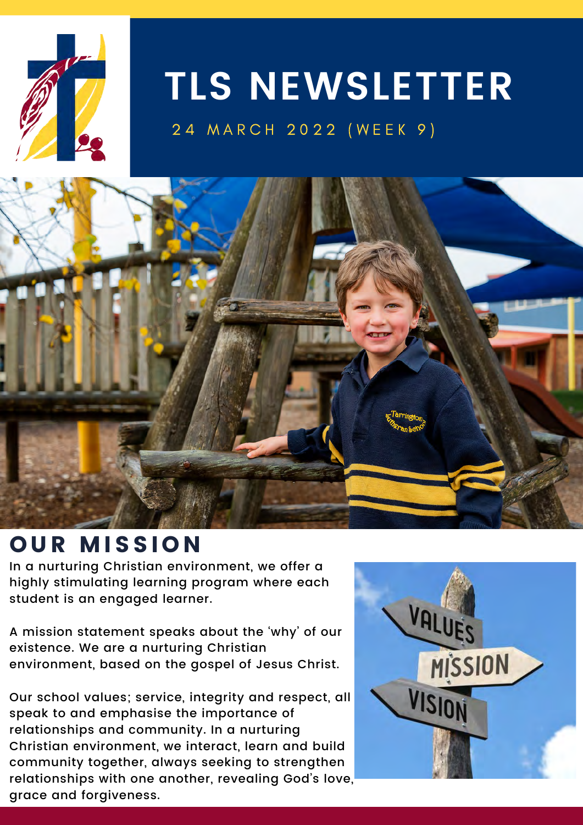

## **TLS NEWSLETTER**

24 MARCH 2022 (WEEK 9)



### OUR MISSION

highly stimulating learning program where each student is an engaged learner. In a nurturing Christian environment, we offer a

A mission statement speaks about the 'why' of our existence. We are a nurturing Christian environment, based on the gospel of Jesus Christ.

Our school values; service, integrity and respect, all speak to and emphasise the importance of relationships and community. In a nurturing Christian environment, we interact, learn and build community together, always seeking to strengthen relationships with one another, revealing God's love, grace and forgiveness.

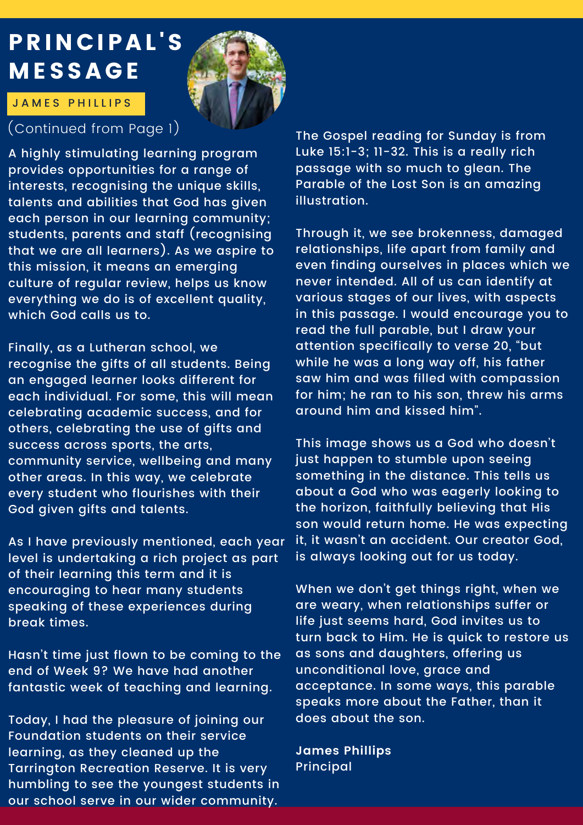### PRINCIPAL'S MESSAGE



#### J A M E S P H I LLIPS

#### (Continued from Page 1)

A highly stimulating learning program provides opportunities for a range of interests, recognising the unique skills, talents and abilities that God has given each person in our learning community; students, parents and staff (recognising that we are all learners). As we aspire to this mission, it means an emerging culture of regular review, helps us know everything we do is of excellent quality, which God calls us to.

Finally, as a Lutheran school, we recognise the gifts of all students. Being an engaged learner looks different for each individual. For some, this will mean celebrating academic success, and for others, celebrating the use of gifts and success across sports, the arts, community service, wellbeing and many other areas. In this way, we celebrate every student who flourishes with their God given gifts and talents.

As I have previously mentioned, each year level is undertaking a rich project as part of their learning this term and it is encouraging to hear many students speaking of these experiences during break times.

Hasn't time just flown to be coming to the end of Week 9? We have had another fantastic week of teaching and learning.

Today, I had the pleasure of joining our Foundation students on their service learning, as they cleaned up the Tarrington Recreation Reserve. It is very humbling to see the youngest students in our school serve in our wider community.

The Gospel reading for Sunday is from Luke 15:1-3; 11-32. This is a really rich passage with so much to glean. The Parable of the Lost Son is an amazing illustration.

Through it, we see brokenness, damaged relationships, life apart from family and even finding ourselves in places which we never intended. All of us can identify at various stages of our lives, with aspects in this passage. I would encourage you to read the full parable, but I draw your attention specifically to verse 20, "but while he was a long way off, his father saw him and was filled with compassion for him; he ran to his son, threw his arms around him and kissed him".

This image shows us a God who doesn't just happen to stumble upon seeing something in the distance. This tells us about a God who was eagerly looking to the horizon, faithfully believing that His son would return home. He was expecting it, it wasn't an accident. Our creator God, is always looking out for us today.

When we don't get things right, when we are weary, when relationships suffer or life just seems hard, God invites us to turn back to Him. He is quick to restore us as sons and daughters, offering us unconditional love, grace and acceptance. In some ways, this parable speaks more about the Father, than it does about the son.

**James Phillips** Principal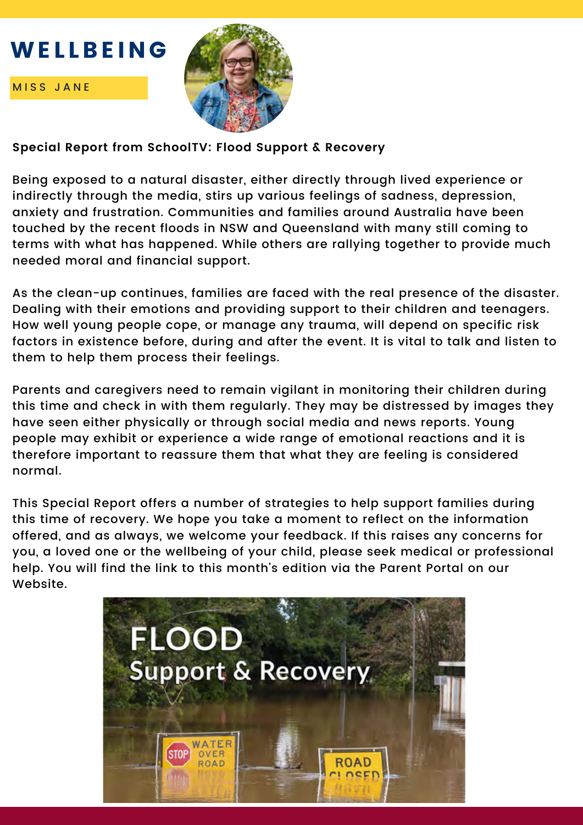### WEILDEING WELLBEING





#### **Special Report from SchoolTV: Flood Support & Recovery**

Being exposed to a natural disaster, either directly through lived experience or indirectly through the media, stirs up various feelings of sadness, depression, anxiety and frustration. Communities and families around Australia have been touched by the recent floods in NSW and Queensland with many still coming to terms with what has happened. While others are rallying together to provide much needed moral and financial support.

As the clean-up continues, families are faced with the real presence of the disaster. Dealing with their emotions and providing support to their children and teenagers. How well young people cope, or manage any trauma, will depend on specific risk factors in existence before, during and after the event. It is vital to talk and listen to them to help them process their feelings.

Parents and caregivers need to remain vigilant in monitoring their children during this time and check in with them regularly. They may be distressed by images they have seen either physically or through social media and news reports. Young people may exhibit or experience a wide range of emotional reactions and it is therefore important to reassure them that what they are feeling is considered normal.

This Special Report offers a number of strategies to help support families during this time of recovery. We hope you take a moment to reflect on the information offered, and as always, we welcome your feedback. If this raises any concerns for you, a loved one or the wellbeing of your child, please seek medical or professional help. You will find the link to this month's edition via the Parent Portal on our Website.

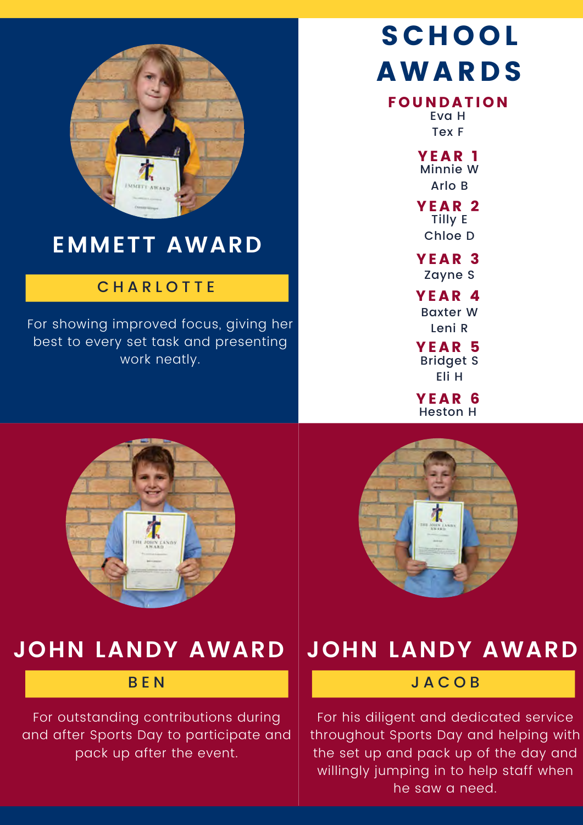

### **EMMETT AWARD**

#### **CHARLOTTE**

For showing improved focus, giving her best to every set task and presenting work neatly.

## SCHOOL AWARDS

#### **FOUNDATION**

Eva H Tex F

YEAR<sub>1</sub> Minnie W Arlo B

YEAR<sub>2</sub> Tilly E Chloe D

Zayne S YEAR<sub>3</sub>

Baxter W Leni R **YEAR 4** 

Bridget S Eli H **YEAR 5** 

YEAR 6 Heston H





### **JOHN LANDY AWARD**

#### B E N

For outstanding contributions during and after Sports Day to participate and pack up after the event.

### **JOHN LANDY AWARD**

#### J A C O B

For his diligent and dedicated service throughout Sports Day and helping with the set up and pack up of the day and willingly jumping in to help staff when he saw a need.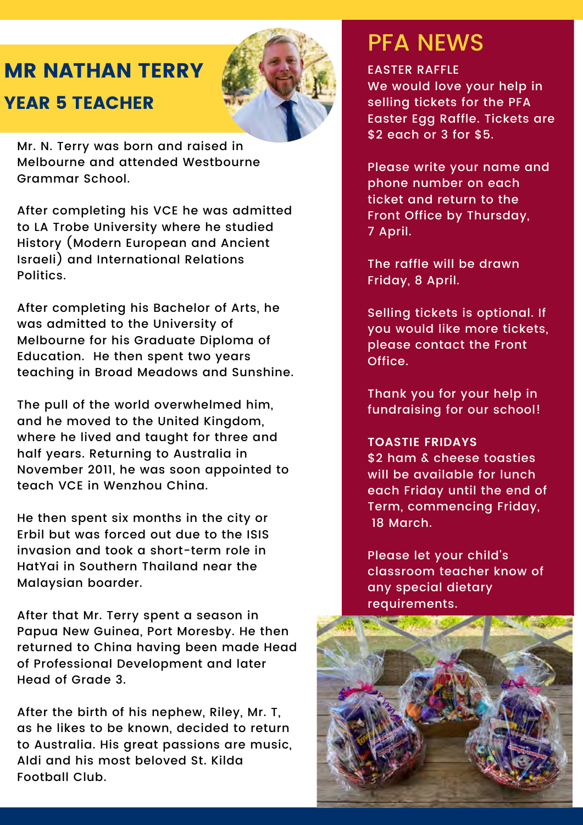### MR NATHAN TERRY YEAR 5 TEACHER



Mr. N. Terry was born and raised in Melbourne and attended Westbourne Grammar School.

After completing his VCE he was admitted to LA Trobe University where he studied History (Modern European and Ancient Israeli) and International Relations Politics.

After completing his Bachelor of Arts, he was admitted to the University of Melbourne for his Graduate Diploma of Education. He then spent two years teaching in Broad Meadows and Sunshine.

The pull of the world overwhelmed him, and he moved to the United Kingdom, where he lived and taught for three and half years. Returning to Australia in November 2011, he was soon appointed to teach VCE in Wenzhou China.

He then spent six months in the city or Erbil but was forced out due to the ISIS invasion and took a short-term role in HatYai in Southern Thailand near the Malaysian boarder.

After that Mr. Terry spent a season in Papua New Guinea, Port Moresby. He then returned to China having been made Head of Professional Development and later Head of Grade 3.

After the birth of his nephew, Riley, Mr. T, as he likes to be known, decided to return to Australia. His great passions are music, Aldi and his most beloved St. Kilda Football Club.

### PFA NEWS

#### EASTER RAFFLE

We would love your help in selling tickets for the PFA Easter Egg Raffle. Tickets are \$2 each or 3 for \$5.

Please write your name and phone number on each ticket and return to the Front Office by Thursday, 7 April.

The raffle will be drawn Friday, 8 April.

Selling tickets is optional. If you would like more tickets, please contact the Front Office.

Thank you for your help in fundraising for our school!

#### **TOASTIE FRIDAYS**

\$2 ham & cheese toasties will be available for lunch each Friday until the end of Term, commencing Friday, 18 March.

Please let your child's classroom teacher know of any special dietary requirements.

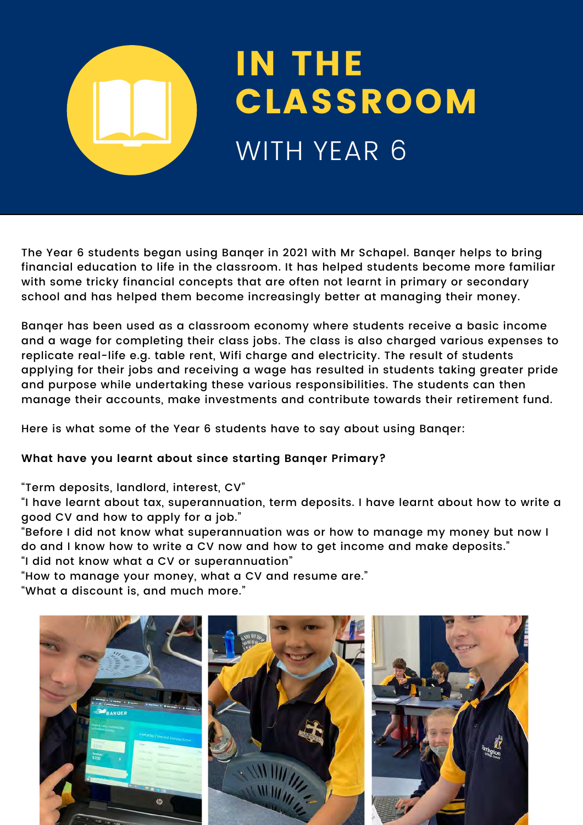# IN THE CLASSROOM WITH YEAR 6

The Year 6 students began using Banqer in 2021 with Mr Schapel. Banqer helps to bring financial education to life in the classroom. It has helped students become more familiar with some tricky financial concepts that are often not learnt in primary or secondary school and has helped them become increasingly better at managing their money.

Banqer has been used as a classroom economy where students receive a basic income and a wage for completing their class jobs. The class is also charged various expenses to replicate real-life e.g. table rent, Wifi charge and electricity. The result of students applying for their jobs and receiving a wage has resulted in students taking greater pride and purpose while undertaking these various responsibilities. The students can then manage their accounts, make investments and contribute towards their retirement fund.

Here is what some of the Year 6 students have to say about using Banqer:

**What have you learnt about since starting Banqer Primary?**

"Term deposits, landlord, interest, CV"

"I have learnt about tax, superannuation, term deposits. I have learnt about how to write a good CV and how to apply for a job."

"Before I did not know what superannuation was or how to manage my money but now I do and I know how to write a CV now and how to get income and make deposits."

"I did not know what a CV or superannuation"

"How to manage your money, what a CV and resume are."

"What a discount is, and much more."

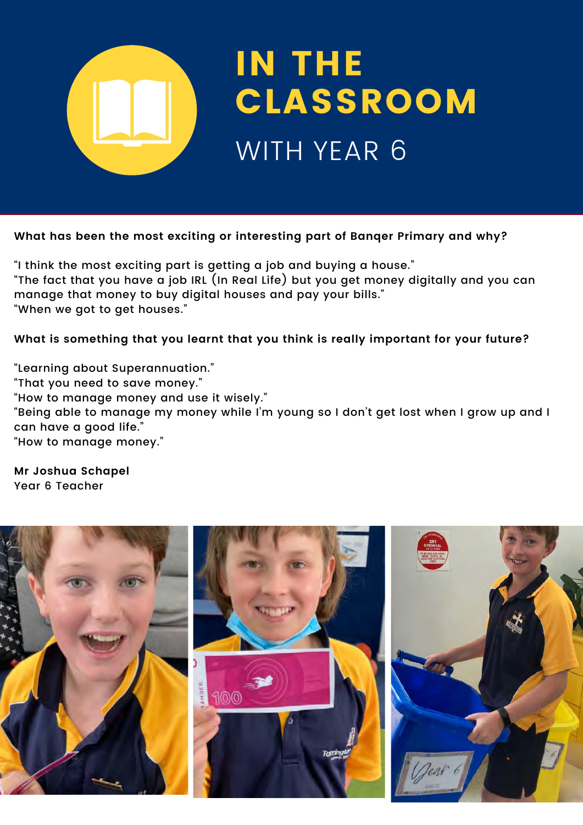

#### **What has been the most exciting or interesting part of Banqer Primary and why?**

"I think the most exciting part is getting a job and buying a house." "The fact that you have a job IRL (In Real Life) but you get money digitally and you can manage that money to buy digital houses and pay your bills." "When we got to get houses."

**What is something that you learnt that you think is really important for your future?**

"Learning about Superannuation."

"That you need to save money."

"How to manage money and use it wisely."

"Being able to manage my money while I'm young so I don't get lost when I grow up and I can have a good life."

"How to manage money."

**Mr Joshua Schapel** Year 6 Teacher